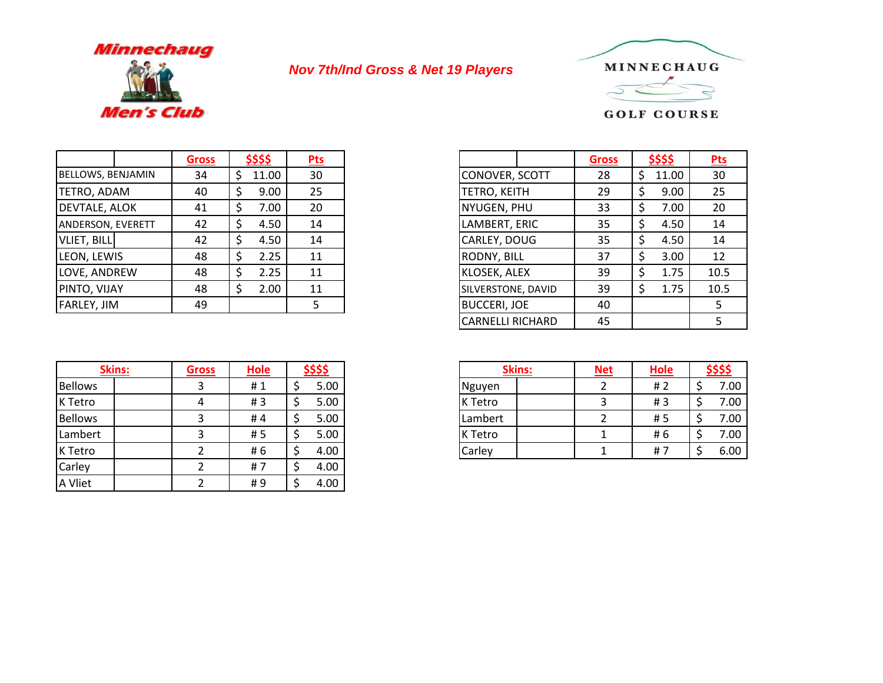

## *Nov 7th/Ind Gross & Net 19 Players*



|                          | Gross | <u>\$\$\$\$</u> | $P$ ts |                     | Gross | \$\$\$\$ |  |
|--------------------------|-------|-----------------|--------|---------------------|-------|----------|--|
| BELLOWS, BENJAMIN        | 34    | 11.00           | 30     | CONOVER, SCOTT      | 28    | 11.00    |  |
| <b>TETRO, ADAM</b>       | 40    | 9.00            | 25     | <b>TETRO, KEITH</b> | 29    | 9.00     |  |
| <b>DEVTALE, ALOK</b>     | 41    | 7.00            | 20     | NYUGEN, PHU         | 33    | 7.00     |  |
| <b>ANDERSON, EVERETT</b> | 42    | 4.50            | 14     | LAMBERT, ERIC       | 35    | 4.50     |  |
| <b>VLIET, BILL</b>       | 42    | 4.50            | 14     | CARLEY, DOUG        | 35    | 4.50     |  |
| LEON, LEWIS              | 48    | 2.25            | 11     | <b>RODNY, BILL</b>  | 37    | 3.00     |  |
| LOVE, ANDREW             | 48    | 2.25            | 11     | KLOSEK, ALEX        | 39    | 1.75     |  |
| PINTO, VIJAY             | 48    | 2.00            | 11     | SILVERSTONE, DAVID  | 39    | 1.75     |  |
| <b>FARLEY, JIM</b>       | 49    |                 |        | <b>BUCCERI, JOE</b> | 40    |          |  |

| <b>Skins:</b>  | <b>Gross</b> | <b>Hole</b> | \$\$\$\$ |  |
|----------------|--------------|-------------|----------|--|
| <b>Bellows</b> |              | #1          | 5.00     |  |
| K Tetro        | 4            | #3          | 5.00     |  |
| <b>Bellows</b> |              | #4          | 5.00     |  |
| Lambert        |              | #5          | 5.00     |  |
| K Tetro        |              | # 6         | 4.00     |  |
| Carley         |              | #7          | 4.00     |  |
| A Vliet        |              | #9          | 4.00     |  |

| \$\$\$\$    | <b>Pts</b> |
|-------------|------------|
| \$<br>11.00 | 30         |
| \$<br>9.00  | 25         |
| \$<br>7.00  | 20         |
| \$<br>4.50  | 14         |
| \$<br>4.50  | 14         |
| \$<br>2.25  | 11         |
| 2.25<br>\$  | 11         |
| \$<br>2.00  | 11         |
|             |            |
|             |            |

| <b>Gross</b> | <b>Hole</b> | <u>\$\$\$\$</u> |      | <b>Skins:</b> |  | <b>Net</b> | <b>Hole</b> |  |
|--------------|-------------|-----------------|------|---------------|--|------------|-------------|--|
|              | #1          |                 | 5.00 | Nguyen        |  |            | # 2         |  |
|              | #3          | ∽               | 5.00 | K Tetro       |  |            | #3          |  |
|              | #4          | ∽<br>ر          | 5.00 | Lambert       |  |            | # 5         |  |
|              | #5          | ∽               | 5.00 | K Tetro       |  |            | # 6         |  |
|              | # 6         | ∽               | 4.00 | Carley        |  |            | #           |  |